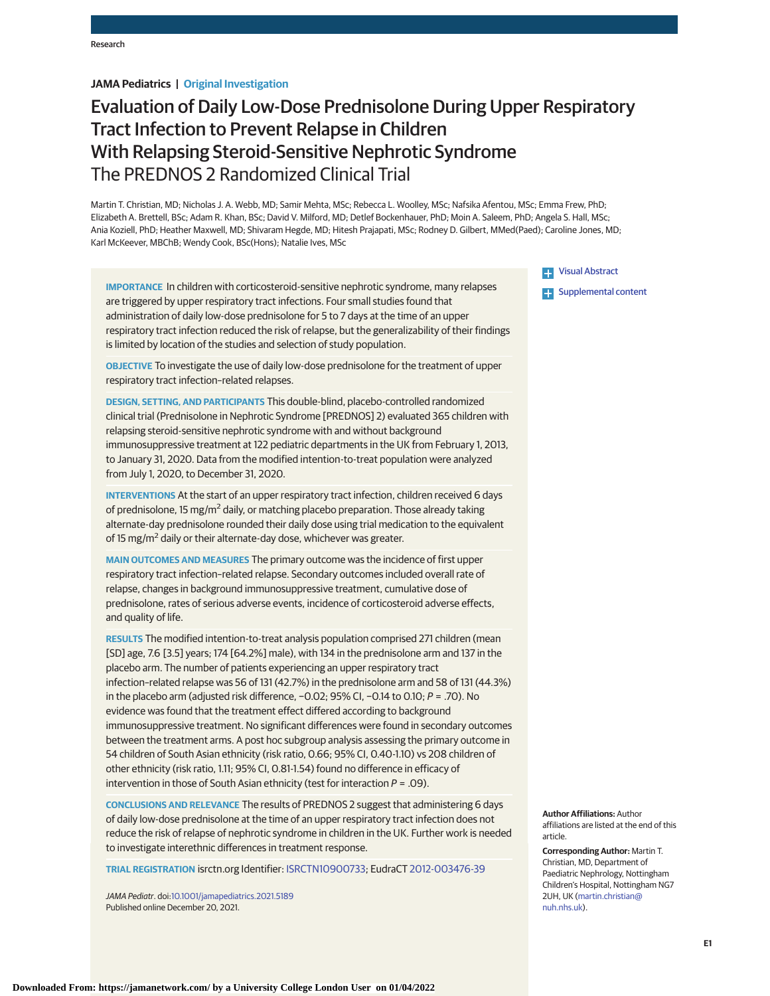# **JAMA Pediatrics | Original Investigation**

# Evaluation of Daily Low-Dose Prednisolone During Upper Respiratory Tract Infection to Prevent Relapse in Children With Relapsing Steroid-Sensitive Nephrotic Syndrome The PREDNOS 2 Randomized Clinical Trial

Martin T. Christian, MD; Nicholas J. A. Webb, MD; Samir Mehta, MSc; Rebecca L. Woolley, MSc; Nafsika Afentou, MSc; Emma Frew, PhD; Elizabeth A. Brettell, BSc; Adam R. Khan, BSc; David V. Milford, MD; Detlef Bockenhauer, PhD; Moin A. Saleem, PhD; Angela S. Hall, MSc; Ania Koziell, PhD; Heather Maxwell, MD; Shivaram Hegde, MD; Hitesh Prajapati, MSc; Rodney D. Gilbert, MMed(Paed); Caroline Jones, MD; Karl McKeever, MBChB; Wendy Cook, BSc(Hons); Natalie Ives, MSc

**IMPORTANCE** In children with corticosteroid-sensitive nephrotic syndrome, many relapses are triggered by upper respiratory tract infections. Four small studies found that administration of daily low-dose prednisolone for 5 to 7 days at the time of an upper respiratory tract infection reduced the risk of relapse, but the generalizability of their findings is limited by location of the studies and selection of study population.

**OBJECTIVE** To investigate the use of daily low-dose prednisolone for the treatment of upper respiratory tract infection–related relapses.

**DESIGN, SETTING, AND PARTICIPANTS** This double-blind, placebo-controlled randomized clinical trial (Prednisolone in Nephrotic Syndrome [PREDNOS] 2) evaluated 365 children with relapsing steroid-sensitive nephrotic syndrome with and without background immunosuppressive treatment at 122 pediatric departments in the UK from February 1, 2013, to January 31, 2020. Data from the modified intention-to-treat population were analyzed from July 1, 2020, to December 31, 2020.

**INTERVENTIONS** At the start of an upper respiratory tract infection, children received 6 days of prednisolone, 15 mg/m<sup>2</sup> daily, or matching placebo preparation. Those already taking alternate-day prednisolone rounded their daily dose using trial medication to the equivalent of 15 mg/m<sup>2</sup> daily or their alternate-day dose, whichever was greater.

**MAIN OUTCOMES AND MEASURES** The primary outcome was the incidence of first upper respiratory tract infection–related relapse. Secondary outcomes included overall rate of relapse, changes in background immunosuppressive treatment, cumulative dose of prednisolone, rates of serious adverse events, incidence of corticosteroid adverse effects, and quality of life.

**RESULTS** The modified intention-to-treat analysis population comprised 271 children (mean [SD] age, 7.6 [3.5] years; 174 [64.2%] male), with 134 in the prednisolone arm and 137 in the placebo arm. The number of patients experiencing an upper respiratory tract infection–related relapse was 56 of 131 (42.7%) in the prednisolone arm and 58 of 131 (44.3%) in the placebo arm (adjusted risk difference, −0.02; 95% CI, −0.14 to 0.10; P = .70). No evidence was found that the treatment effect differed according to background immunosuppressive treatment. No significant differences were found in secondary outcomes between the treatment arms. A post hoc subgroup analysis assessing the primary outcome in 54 children of South Asian ethnicity (risk ratio, 0.66; 95% CI, 0.40-1.10) vs 208 children of other ethnicity (risk ratio, 1.11; 95% CI, 0.81-1.54) found no difference in efficacy of intervention in those of South Asian ethnicity (test for interaction  $P = .09$ ).

**CONCLUSIONS AND RELEVANCE** The results of PREDNOS 2 suggest that administering 6 days of daily low-dose prednisolone at the time of an upper respiratory tract infection does not reduce the risk of relapse of nephrotic syndrome in children in the UK. Further work is needed to investigate interethnic differences in treatment response.

**TRIAL REGISTRATION** isrctn.org Identifier: [ISRCTN10900733;](https://www.isrctn.com/search?q=ISRCTN10900733) EudraCT [2012-003476-39](https://www.clinicaltrialsregister.eu/ctr-search/search?query=2012-003476-39)

JAMA Pediatr. doi[:10.1001/jamapediatrics.2021.5189](https://jamanetwork.com/journals/jama/fullarticle/10.1001/jamapediatrics.2021.5189?utm_campaign=articlePDF%26utm_medium=articlePDFlink%26utm_source=articlePDF%26utm_content=jamapediatrics.2021.5189) Published online December 20, 2021.

[Visual Abstract](https://jamanetwork.com/journals/jama/fullarticle/10.1001/jamapediatrics.2021.5189?utm_campaign=articlePDF%26utm_medium=articlePDFlink%26utm_source=articlePDF%26utm_content=jamapediatrics.2021.5189)

**Examplemental content** 

**Author Affiliations:** Author affiliations are listed at the end of this article.

**Corresponding Author:** Martin T. Christian, MD, Department of Paediatric Nephrology, Nottingham Children's Hospital, Nottingham NG7 2UH, UK [\(martin.christian@](mailto:martin.christian@nuh.nhs.uk) [nuh.nhs.uk\)](mailto:martin.christian@nuh.nhs.uk).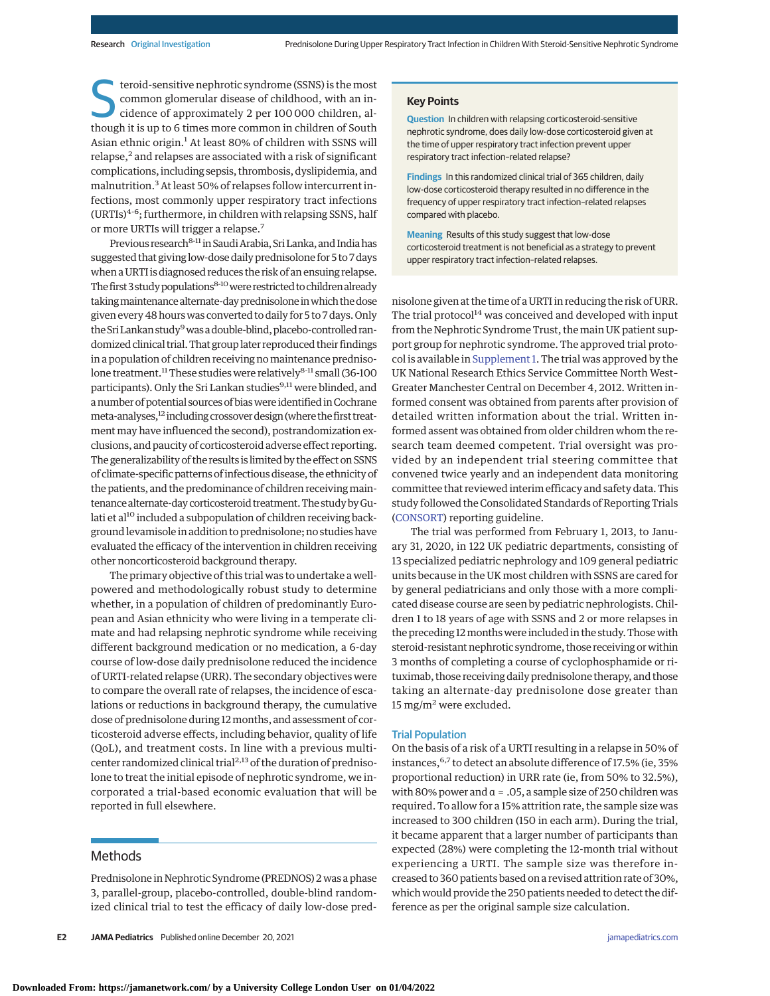Steroid-sensitive nephrotic syndrome (SSNS) is the most<br>common glomerular disease of childhood, with an in-<br>cidence of approximately 2 per 100 000 children, al-<br>though it is un to 6 times more sommon in children of South common glomerular disease of childhood, with an inthough it is up to 6 times more common in children of South Asian ethnic origin.<sup>1</sup> At least 80% of children with SSNS will relapse,<sup>2</sup> and relapses are associated with a risk of significant complications, including sepsis, thrombosis, dyslipidemia, and malnutrition.<sup>3</sup> At least 50% of relapses follow intercurrent infections, most commonly upper respiratory tract infections  $(URTIs)^{4-6}$ ; furthermore, in children with relapsing SSNS, half or more URTIs will trigger a relapse.<sup>7</sup>

Previous research<sup>8-11</sup> in Saudi Arabia, Sri Lanka, and India has suggested that giving low-dose daily prednisolone for 5 to 7 days when a URTI is diagnosed reduces the risk of an ensuing relapse. The first 3 study populations<sup>8-10</sup> were restricted to children already takingmaintenance alternate-dayprednisolone inwhich thedose given every 48 hours was converted to daily for 5 to 7 days. Only the Sri Lankan study<sup>9</sup> was a double-blind, placebo-controlled randomized clinical trial. That group later reproduced their findings in a population of children receiving no maintenance prednisolone treatment.<sup>11</sup> These studies were relatively<sup>8-11</sup> small (36-100 participants). Only the Sri Lankan studies<sup>9,11</sup> were blinded, and anumber of potential sources of biaswere identified inCochrane meta-analyses,<sup>12</sup> including crossover design (where the first treatment may have influenced the second), postrandomization exclusions, and paucity of corticosteroid adverse effect reporting. The generalizability of the results is limited by the effect on SSNS of climate-specific patterns of infectious disease, the ethnicity of the patients, and the predominance of children receivingmaintenance alternate-day corticosteroid treatment. The study by Gulati et al<sup>10</sup> included a subpopulation of children receiving background levamisole in addition to prednisolone; no studies have evaluated the efficacy of the intervention in children receiving other noncorticosteroid background therapy.

The primary objective of this trial was to undertake a wellpowered and methodologically robust study to determine whether, in a population of children of predominantly European and Asian ethnicity who were living in a temperate climate and had relapsing nephrotic syndrome while receiving different background medication or no medication, a 6-day course of low-dose daily prednisolone reduced the incidence of URTI-related relapse (URR). The secondary objectives were to compare the overall rate of relapses, the incidence of escalations or reductions in background therapy, the cumulative dose of prednisolone during 12months, and assessment of corticosteroid adverse effects, including behavior, quality of life (QoL), and treatment costs. In line with a previous multicenter randomized clinical trial<sup>2,13</sup> of the duration of prednisolone to treat the initial episode of nephrotic syndrome, we incorporated a trial-based economic evaluation that will be reported in full elsewhere.

# Methods

Prednisolone in Nephrotic Syndrome (PREDNOS) 2 was a phase 3, parallel-group, placebo-controlled, double-blind randomized clinical trial to test the efficacy of daily low-dose pred-

**E2 JAMA Pediatrics** Published online December 20, 2021 **(Reprinted)** [jamapediatrics.com](http://www.jamapediatrics.com?utm_campaign=articlePDF%26utm_medium=articlePDFlink%26utm_source=articlePDF%26utm_content=jamapediatrics.2021.5189)

# **Key Points**

**Question** In children with relapsing corticosteroid-sensitive nephrotic syndrome, does daily low-dose corticosteroid given at the time of upper respiratory tract infection prevent upper respiratory tract infection–related relapse?

**Findings** In this randomized clinical trial of 365 children, daily low-dose corticosteroid therapy resulted in no difference in the frequency of upper respiratory tract infection–related relapses compared with placebo.

**Meaning** Results of this study suggest that low-dose corticosteroid treatment is not beneficial as a strategy to prevent upper respiratory tract infection–related relapses.

nisolone given at the time of a URTI in reducing the risk of URR. The trial protocol $14$  was conceived and developed with input from the Nephrotic Syndrome Trust, the main UK patient support group for nephrotic syndrome. The approved trial protocol is available in [Supplement 1.](https://jamanetwork.com/journals/jama/fullarticle/10.1001/jamapediatrics.2021.5189?utm_campaign=articlePDF%26utm_medium=articlePDFlink%26utm_source=articlePDF%26utm_content=jamapediatrics.2021.5189) The trial was approved by the UK National Research Ethics Service Committee North West– Greater Manchester Central on December 4, 2012. Written informed consent was obtained from parents after provision of detailed written information about the trial. Written informed assent was obtained from older children whom the research team deemed competent. Trial oversight was provided by an independent trial steering committee that convened twice yearly and an independent data monitoring committee that reviewed interim efficacy and safety data. This study followed the Consolidated Standards of Reporting Trials [\(CONSORT\)](https://www.equator-network.org/reporting-guidelines/consort/) reporting guideline.

The trial was performed from February 1, 2013, to January 31, 2020, in 122 UK pediatric departments, consisting of 13 specialized pediatric nephrology and 109 general pediatric units because in the UK most children with SSNS are cared for by general pediatricians and only those with a more complicated disease course are seen by pediatric nephrologists. Children 1 to 18 years of age with SSNS and 2 or more relapses in the preceding 12 months were included in the study. Those with steroid-resistant nephrotic syndrome, those receiving or within 3 months of completing a course of cyclophosphamide or rituximab, those receiving daily prednisolone therapy, and those taking an alternate-day prednisolone dose greater than 15 mg/m<sup>2</sup> were excluded.

# Trial Population

On the basis of a risk of a URTI resulting in a relapse in 50% of instances, <sup>6,7</sup> to detect an absolute difference of 17.5% (ie, 35% proportional reduction) in URR rate (ie, from 50% to 32.5%), with 80% power and  $\alpha = 0.05$ , a sample size of 250 children was required. To allow for a 15% attrition rate, the sample size was increased to 300 children (150 in each arm). During the trial, it became apparent that a larger number of participants than expected (28%) were completing the 12-month trial without experiencing a URTI. The sample size was therefore increased to 360 patients based on a revised attrition rate of 30%, which would provide the 250 patients needed to detect the difference as per the original sample size calculation.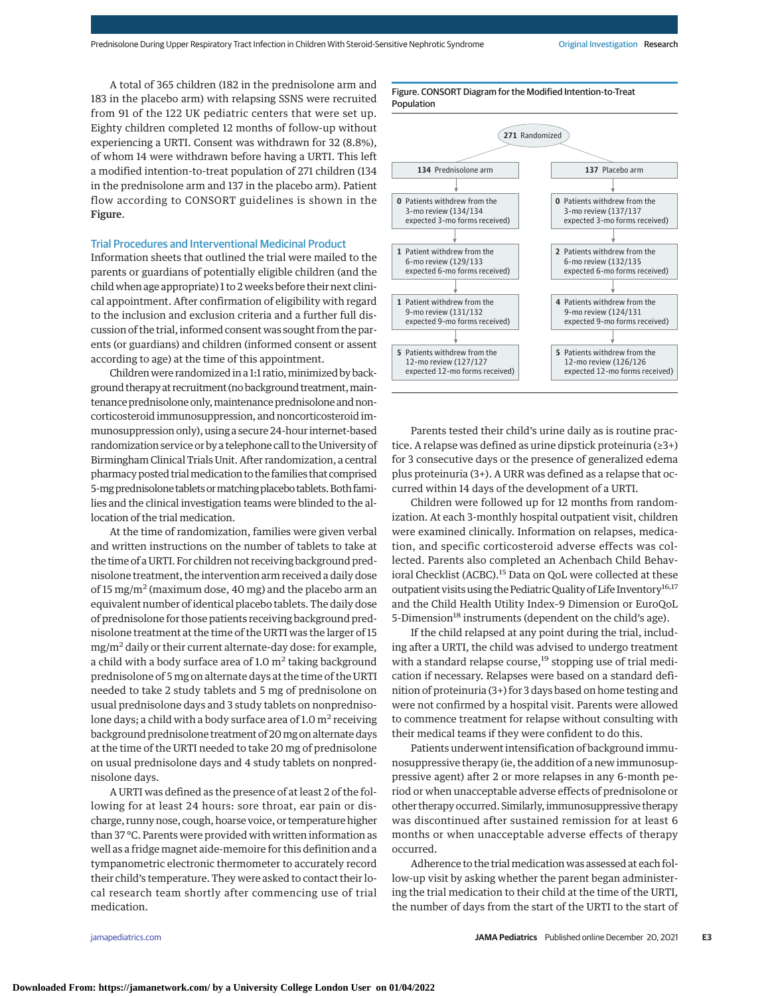A total of 365 children (182 in the prednisolone arm and 183 in the placebo arm) with relapsing SSNS were recruited from 91 of the 122 UK pediatric centers that were set up. Eighty children completed 12 months of follow-up without experiencing a URTI. Consent was withdrawn for 32 (8.8%), of whom 14 were withdrawn before having a URTI. This left a modified intention-to-treat population of 271 children (134 in the prednisolone arm and 137 in the placebo arm). Patient flow according to CONSORT guidelines is shown in the Figure.

# Trial Procedures and Interventional Medicinal Product

Information sheets that outlined the trial were mailed to the parents or guardians of potentially eligible children (and the child when age appropriate) 1 to 2 weeks before their next clinical appointment. After confirmation of eligibility with regard to the inclusion and exclusion criteria and a further full discussion of the trial, informed consent was sought from the parents (or guardians) and children (informed consent or assent according to age) at the time of this appointment.

Children were randomized in a 1:1 ratio, minimized by background therapy at recruitment (no background treatment,maintenance prednisolone only, maintenance prednisolone and noncorticosteroid immunosuppression, and noncorticosteroid immunosuppression only), using a secure 24-hour internet-based randomization service or by a telephone call to the University of Birmingham Clinical Trials Unit. After randomization, a central pharmacy posted trialmedication to the families that comprised 5-mg prednisolone tablets or matching placebo tablets. Both families and the clinical investigation teams were blinded to the allocation of the trial medication.

At the time of randomization, families were given verbal and written instructions on the number of tablets to take at the time of a URTI. For children not receiving background prednisolone treatment, the intervention arm received a daily dose of 15 mg/m<sup>2</sup> (maximum dose, 40 mg) and the placebo arm an equivalent number of identical placebo tablets. The daily dose of prednisolone for those patients receiving background prednisolone treatment at the time of the URTI was the larger of 15  $mg/m<sup>2</sup>$  daily or their current alternate-day dose: for example, a child with a body surface area of 1.0  $m<sup>2</sup>$  taking background prednisolone of 5 mg on alternate days at the time of the URTI needed to take 2 study tablets and 5 mg of prednisolone on usual prednisolone days and 3 study tablets on nonprednisolone days; a child with a body surface area of 1.0  $m<sup>2</sup>$  receiving background prednisolone treatment of 20mg on alternate days at the time of the URTI needed to take 20 mg of prednisolone on usual prednisolone days and 4 study tablets on nonprednisolone days.

A URTI was defined as the presence of at least 2 of the following for at least 24 hours: sore throat, ear pain or discharge, runny nose, cough, hoarse voice, or temperature higher than 37 °C. Parents were provided with written information as well as a fridge magnet aide-memoire for this definition and a tympanometric electronic thermometer to accurately record their child's temperature. They were asked to contact their local research team shortly after commencing use of trial medication.

Figure. CONSORT Diagram for the Modified Intention-to-Treat Population



Parents tested their child's urine daily as is routine practice. A relapse was defined as urine dipstick proteinuria (≥3+) for 3 consecutive days or the presence of generalized edema plus proteinuria (3+). A URR was defined as a relapse that occurred within 14 days of the development of a URTI.

Children were followed up for 12 months from randomization. At each 3-monthly hospital outpatient visit, children were examined clinically. Information on relapses, medication, and specific corticosteroid adverse effects was collected. Parents also completed an Achenbach Child Behavioral Checklist (ACBC).<sup>15</sup> Data on QoL were collected at these outpatient visits using the Pediatric Quality of Life Inventory<sup>16,17</sup> and the Child Health Utility Index–9 Dimension or EuroQoL 5-Dimension<sup>18</sup> instruments (dependent on the child's age).

If the child relapsed at any point during the trial, including after a URTI, the child was advised to undergo treatment with a standard relapse course, $19$  stopping use of trial medication if necessary. Relapses were based on a standard definition of proteinuria (3+) for 3 days based on home testing and were not confirmed by a hospital visit. Parents were allowed to commence treatment for relapse without consulting with their medical teams if they were confident to do this.

Patients underwent intensification of background immunosuppressive therapy (ie, the addition of a new immunosuppressive agent) after 2 or more relapses in any 6-month period or when unacceptable adverse effects of prednisolone or other therapy occurred. Similarly, immunosuppressive therapy was discontinued after sustained remission for at least 6 months or when unacceptable adverse effects of therapy occurred.

Adherence to the trial medication was assessed at each follow-up visit by asking whether the parent began administering the trial medication to their child at the time of the URTI, the number of days from the start of the URTI to the start of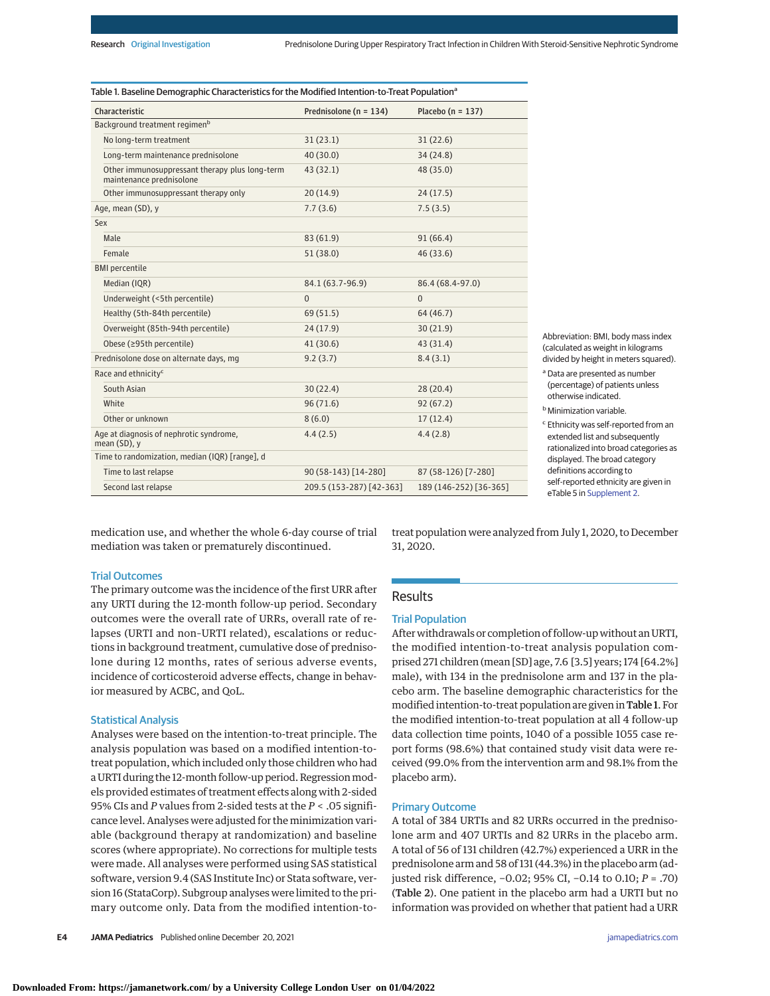| Characteristic                                                             | Prednisolone (n = 134)   | Placebo ( $n = 137$ )  |  |
|----------------------------------------------------------------------------|--------------------------|------------------------|--|
| Background treatment regimen <sup>b</sup>                                  |                          |                        |  |
| No long-term treatment                                                     | 31(23.1)                 | 31(22.6)               |  |
| Long-term maintenance prednisolone                                         | 40(30.0)                 | 34(24.8)               |  |
| Other immunosuppressant therapy plus long-term<br>maintenance prednisolone | 43(32.1)                 | 48 (35.0)              |  |
| Other immunosuppressant therapy only                                       | 20(14.9)                 | 24(17.5)               |  |
| Age, mean (SD), y                                                          | 7.7(3.6)                 | 7.5(3.5)               |  |
| Sex                                                                        |                          |                        |  |
| Male                                                                       | 83 (61.9)<br>91(66.4)    |                        |  |
| Female                                                                     | 51(38.0)                 | 46(33.6)               |  |
| <b>BMI</b> percentile                                                      |                          |                        |  |
| Median (IQR)                                                               | 84.1 (63.7-96.9)         | 86.4 (68.4-97.0)       |  |
| Underweight (<5th percentile)                                              | $\Omega$                 | $\overline{0}$         |  |
| Healthy (5th-84th percentile)                                              | 69 (51.5)                | 64 (46.7)              |  |
| Overweight (85th-94th percentile)                                          | 24(17.9)                 | 30(21.9)               |  |
| Obese (≥95th percentile)                                                   | 41(30.6)                 | 43 (31.4)              |  |
| Prednisolone dose on alternate days, mg                                    | 9.2(3.7)                 | 8.4(3.1)               |  |
| Race and ethnicity <sup>c</sup>                                            |                          |                        |  |
| South Asian                                                                | 30(22.4)                 | 28(20.4)               |  |
| White                                                                      | 96(71.6)                 | 92(67.2)               |  |
| Other or unknown                                                           | 8(6.0)                   | 17(12.4)               |  |
| Age at diagnosis of nephrotic syndrome,<br>mean (SD), y                    | 4.4(2.5)                 | 4.4(2.8)               |  |
| Time to randomization, median (IQR) [range], d                             |                          |                        |  |
| Time to last relapse                                                       | 90 (58-143) [14-280]     | 87 (58-126) [7-280]    |  |
| Second last relapse                                                        | 209.5 (153-287) [42-363] | 189 (146-252) [36-365] |  |

Abbreviation: BMI, body mass index calculated as weight in kilograms divided by height in meters squared).

Data are presented as number (percentage) of patients unless otherwise indicated.

**Minimization variable.** 

Ethnicity was self-reported from an extended list and subsequently rationalized into broad categories as displayed. The broad category definitions according to self-reported ethnicity are given in eTable 5 in [Supplement 2.](https://jamanetwork.com/journals/jama/fullarticle/10.1001/jamapediatrics.2021.5189?utm_campaign=articlePDF%26utm_medium=articlePDFlink%26utm_source=articlePDF%26utm_content=jamapediatrics.2021.5189)

medication use, and whether the whole 6-day course of trial mediation was taken or prematurely discontinued.

## Trial Outcomes

The primary outcome was the incidence of the first URR after any URTI during the 12-month follow-up period. Secondary outcomes were the overall rate of URRs, overall rate of relapses (URTI and non–URTI related), escalations or reductions in background treatment, cumulative dose of prednisolone during 12 months, rates of serious adverse events, incidence of corticosteroid adverse effects, change in behavior measured by ACBC, and QoL.

## Statistical Analysis

Analyses were based on the intention-to-treat principle. The analysis population was based on a modified intention-totreat population, which included only those children who had a URTI during the 12-month follow-up period. Regression models provided estimates of treatment effects along with 2-sided 95% CIs and *P* values from 2-sided tests at the *P* < .05 significance level. Analyses were adjusted for the minimization variable (background therapy at randomization) and baseline scores (where appropriate). No corrections for multiple tests were made. All analyses were performed using SAS statistical software, version 9.4 (SAS Institute Inc) or Stata software, version 16 (StataCorp). Subgroup analyses were limited to the primary outcome only. Data from the modified intention-totreat population were analyzed from July 1, 2020, to December 31, 2020.

# Results

#### Trial Population

After withdrawals or completion of follow-up without an URTI, the modified intention-to-treat analysis population comprised 271 children (mean [SD] age, 7.6 [3.5] years; 174 [64.2%] male), with 134 in the prednisolone arm and 137 in the placebo arm. The baseline demographic characteristics for the modified intention-to-treat population are given in Table 1. For the modified intention-to-treat population at all 4 follow-up data collection time points, 1040 of a possible 1055 case report forms (98.6%) that contained study visit data were received (99.0% from the intervention arm and 98.1% from the placebo arm).

# Primary Outcome

A total of 384 URTIs and 82 URRs occurred in the prednisolone arm and 407 URTIs and 82 URRs in the placebo arm. A total of 56 of 131 children (42.7%) experienced a URR in the prednisolone arm and 58 of 131 (44.3%) in the placebo arm (adjusted risk difference, −0.02; 95% CI, −0.14 to 0.10; *P* = .70) (Table 2). One patient in the placebo arm had a URTI but no information was provided on whether that patient had a URR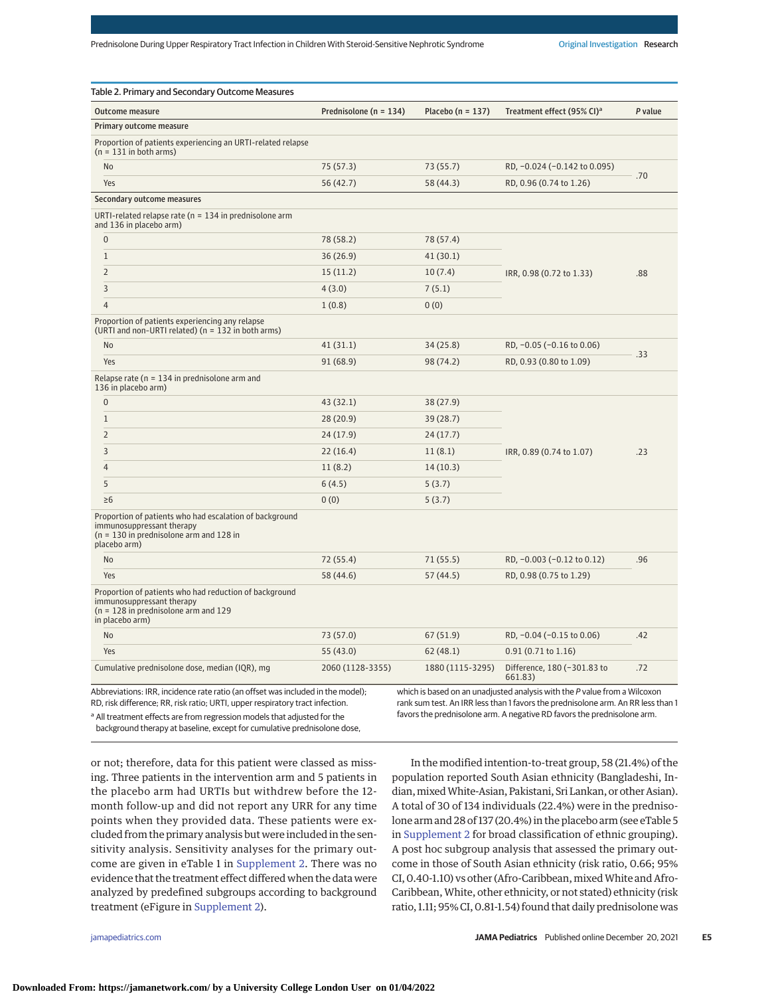| Table 2. Primary and Secondary Outcome Measures                                                                                                   |                            |                       |                                                                           |         |
|---------------------------------------------------------------------------------------------------------------------------------------------------|----------------------------|-----------------------|---------------------------------------------------------------------------|---------|
| <b>Outcome measure</b>                                                                                                                            | Prednisolone ( $n = 134$ ) | Placebo ( $n = 137$ ) | Treatment effect (95% CI) <sup>a</sup>                                    | P value |
| Primary outcome measure                                                                                                                           |                            |                       |                                                                           |         |
| Proportion of patients experiencing an URTI-related relapse<br>$(n = 131$ in both arms)                                                           |                            |                       |                                                                           |         |
| <b>No</b>                                                                                                                                         | 75 (57.3)                  | 73 (55.7)             | RD, -0.024 (-0.142 to 0.095)                                              | .70     |
| Yes                                                                                                                                               | 56 (42.7)                  | 58 (44.3)             | RD, 0.96 (0.74 to 1.26)                                                   |         |
| Secondary outcome measures                                                                                                                        |                            |                       |                                                                           |         |
| URTI-related relapse rate ( $n = 134$ in prednisolone arm<br>and 136 in placebo arm)                                                              |                            |                       |                                                                           |         |
| $\boldsymbol{0}$                                                                                                                                  | 78 (58.2)                  | 78 (57.4)             |                                                                           | .88     |
| $\mathbf{1}$                                                                                                                                      | 36 (26.9)                  | 41(30.1)              |                                                                           |         |
| $\overline{2}$                                                                                                                                    | 15(11.2)                   | 10(7.4)               | IRR, 0.98 (0.72 to 1.33)                                                  |         |
| 3                                                                                                                                                 | 4(3.0)                     | 7(5.1)                |                                                                           |         |
| $\overline{4}$                                                                                                                                    | 1(0.8)                     | 0(0)                  |                                                                           |         |
| Proportion of patients experiencing any relapse<br>(URTI and non-URTI related) (n = 132 in both arms)                                             |                            |                       |                                                                           |         |
| No                                                                                                                                                | 41(31.1)                   | 34(25.8)              | RD, -0.05 (-0.16 to 0.06)                                                 | .33     |
| Yes                                                                                                                                               | 91(68.9)                   | 98 (74.2)             | RD, 0.93 (0.80 to 1.09)                                                   |         |
| Relapse rate ( $n = 134$ in prednisolone arm and<br>136 in placebo arm)                                                                           |                            |                       |                                                                           |         |
| $\overline{0}$                                                                                                                                    | 43(32.1)                   | 38(27.9)              |                                                                           |         |
| $\mathbf{1}$                                                                                                                                      | 28(20.9)                   | 39(28.7)              |                                                                           |         |
| 2                                                                                                                                                 | 24 (17.9)                  | 24(17.7)              |                                                                           | .23     |
| 3                                                                                                                                                 | 22(16.4)                   | 11(8.1)               | IRR, 0.89 (0.74 to 1.07)                                                  |         |
| $\overline{4}$                                                                                                                                    | 11(8.2)                    | 14(10.3)              |                                                                           |         |
| 5                                                                                                                                                 | 6(4.5)                     | 5(3.7)                |                                                                           |         |
| $\geq 6$                                                                                                                                          | 0(0)                       | 5(3.7)                |                                                                           |         |
| Proportion of patients who had escalation of background<br>immunosuppressant therapy<br>$(n = 130$ in prednisolone arm and 128 in<br>placebo arm) |                            |                       |                                                                           |         |
| No                                                                                                                                                | 72 (55.4)                  | 71(55.5)              | RD, -0.003 (-0.12 to 0.12)                                                | .96     |
| Yes                                                                                                                                               | 58 (44.6)                  | 57(44.5)              | RD, 0.98 (0.75 to 1.29)                                                   |         |
| Proportion of patients who had reduction of background<br>immunosuppressant therapy<br>$(n = 128$ in prednisolone arm and 129<br>in placebo arm)  |                            |                       |                                                                           |         |
| No                                                                                                                                                | 73 (57.0)                  | 67(51.9)              | RD, -0.04 (-0.15 to 0.06)                                                 | .42     |
| Yes                                                                                                                                               | 55 (43.0)                  | 62(48.1)              | 0.91(0.71 to 1.16)                                                        |         |
| Cumulative prednisolone dose, median (IQR), mg                                                                                                    | 2060 (1128-3355)           | 1880 (1115-3295)      | Difference, 180 (-301.83 to<br>661.83)                                    | .72     |
| Abbreviations: IRR, incidence rate ratio (an offset was included in the model);                                                                   |                            |                       | which is based on an unadjusted analysis with the P value from a Wilcoxon |         |

RD, risk difference; RR, risk ratio; URTI, upper respiratory tract infection. <sup>a</sup> All treatment effects are from regression models that adjusted for the

rank sum test. An IRR less than 1 favors the prednisolone arm. An RR less than 1 favors the prednisolone arm. A negative RD favors the prednisolone arm.

background therapy at baseline, except for cumulative prednisolone dose,

or not; therefore, data for this patient were classed as missing. Three patients in the intervention arm and 5 patients in the placebo arm had URTIs but withdrew before the 12 month follow-up and did not report any URR for any time points when they provided data. These patients were excluded from the primary analysis but were included in the sensitivity analysis. Sensitivity analyses for the primary outcome are given in eTable 1 in [Supplement 2.](https://jamanetwork.com/journals/jama/fullarticle/10.1001/jamapediatrics.2021.5189?utm_campaign=articlePDF%26utm_medium=articlePDFlink%26utm_source=articlePDF%26utm_content=jamapediatrics.2021.5189) There was no evidence that the treatment effect differed when the data were analyzed by predefined subgroups according to background treatment (eFigure in [Supplement 2\)](https://jamanetwork.com/journals/jama/fullarticle/10.1001/jamapediatrics.2021.5189?utm_campaign=articlePDF%26utm_medium=articlePDFlink%26utm_source=articlePDF%26utm_content=jamapediatrics.2021.5189).

In the modified intention-to-treat group, 58 (21.4%) of the population reported South Asian ethnicity (Bangladeshi, Indian, mixed White-Asian, Pakistani, Sri Lankan, or other Asian). A total of 30 of 134 individuals (22.4%) were in the prednisolone arm and 28 of 137 (20.4%) in the placebo arm (see eTable 5 in [Supplement 2](https://jamanetwork.com/journals/jama/fullarticle/10.1001/jamapediatrics.2021.5189?utm_campaign=articlePDF%26utm_medium=articlePDFlink%26utm_source=articlePDF%26utm_content=jamapediatrics.2021.5189) for broad classification of ethnic grouping). A post hoc subgroup analysis that assessed the primary outcome in those of South Asian ethnicity (risk ratio, 0.66; 95% CI, 0.40-1.10) vs other (Afro-Caribbean, mixed White and Afro-Caribbean, White, other ethnicity, or not stated) ethnicity (risk ratio, 1.11; 95% CI, 0.81-1.54) found that daily prednisolone was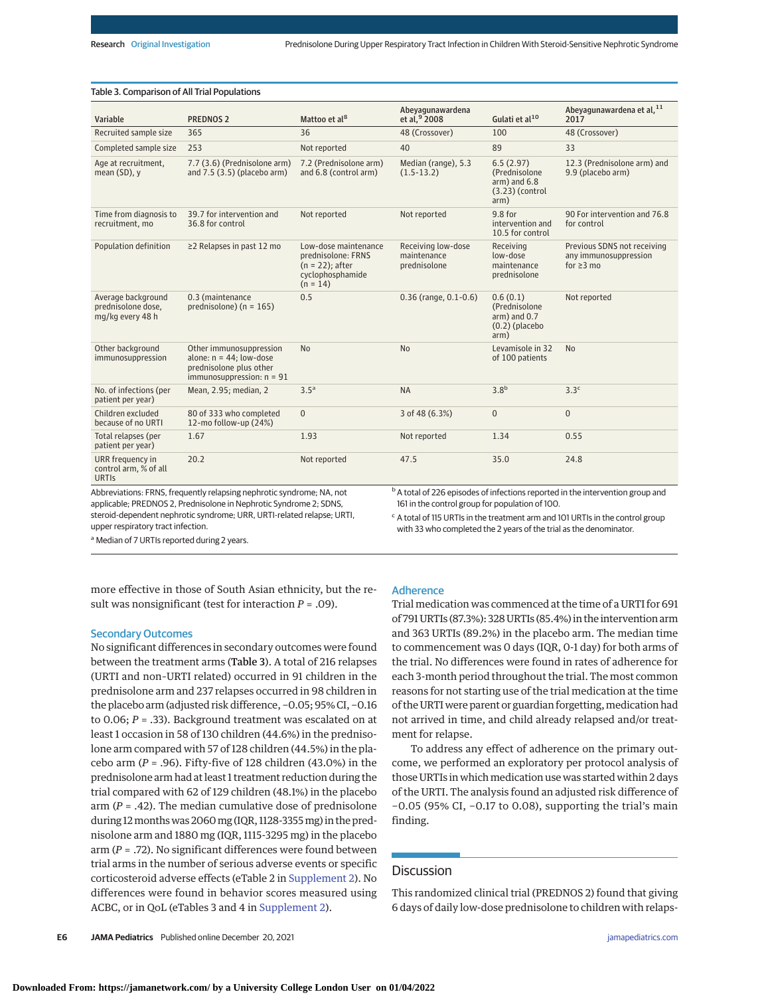| Table 3. Comparison of All Trial Populations                                                               |                                                                                                                         |                                                                                                    |                                                                                                                                                                                                                                       |                                                                              |                                                                         |  |  |
|------------------------------------------------------------------------------------------------------------|-------------------------------------------------------------------------------------------------------------------------|----------------------------------------------------------------------------------------------------|---------------------------------------------------------------------------------------------------------------------------------------------------------------------------------------------------------------------------------------|------------------------------------------------------------------------------|-------------------------------------------------------------------------|--|--|
| Variable                                                                                                   | <b>PREDNOS 2</b>                                                                                                        | Mattoo et al <sup>8</sup>                                                                          | Abeyagunawardena<br>et al. <sup>9</sup> 2008                                                                                                                                                                                          | Gulati et al <sup>10</sup>                                                   | Abeyagunawardena et al, 11<br>2017                                      |  |  |
| Recruited sample size                                                                                      | 365                                                                                                                     | 36                                                                                                 | 48 (Crossover)                                                                                                                                                                                                                        | 100                                                                          | 48 (Crossover)                                                          |  |  |
| Completed sample size                                                                                      | 253                                                                                                                     | Not reported                                                                                       | 40                                                                                                                                                                                                                                    | 89                                                                           | 33                                                                      |  |  |
| Age at recruitment,<br>mean $(SD)$ , y                                                                     | 7.7 (3.6) (Prednisolone arm)<br>and $7.5$ $(3.5)$ (placebo arm)                                                         | 7.2 (Prednisolone arm)<br>and 6.8 (control arm)                                                    | Median (range), 5.3<br>$(1.5-13.2)$                                                                                                                                                                                                   | 6.5(2.97)<br>(Prednisolone)<br>$arm)$ and $6.8$<br>$(3.23)$ (control<br>arm) | 12.3 (Prednisolone arm) and<br>9.9 (placebo arm)                        |  |  |
| Time from diagnosis to<br>recruitment, mo                                                                  | 39.7 for intervention and<br>36.8 for control                                                                           | Not reported                                                                                       | Not reported                                                                                                                                                                                                                          | 9.8 for<br>intervention and<br>10.5 for control                              | 90 For intervention and 76.8<br>for control                             |  |  |
| Population definition                                                                                      | ≥2 Relapses in past 12 mo                                                                                               | Low-dose maintenance<br>prednisolone: FRNS<br>$(n = 22)$ ; after<br>cyclophosphamide<br>$(n = 14)$ | Receiving low-dose<br>maintenance<br>prednisolone                                                                                                                                                                                     | Receiving<br>low-dose<br>maintenance<br>prednisolone                         | Previous SDNS not receiving<br>any immunosuppression<br>for $\geq$ 3 mo |  |  |
| Average background<br>prednisolone dose,<br>mg/kg every 48 h                                               | 0.3 (maintenance<br>prednisolone) ( $n = 165$ )                                                                         | 0.5                                                                                                | $0.36$ (range, $0.1 - 0.6$ )                                                                                                                                                                                                          | 0.6(0.1)<br>(Prednisolone<br>$arm)$ and $0.7$<br>$(0.2)$ (placebo<br>arm)    | Not reported                                                            |  |  |
| Other background<br>immunosuppression                                                                      | Other immunosuppression<br>alone: $n = 44$ : low-dose<br>prednisolone plus other<br>immunosuppression: $n = 91$         | <b>No</b>                                                                                          | <b>No</b>                                                                                                                                                                                                                             | Levamisole in 32<br>of 100 patients                                          | <b>No</b>                                                               |  |  |
| No. of infections (per<br>patient per year)                                                                | Mean, 2.95; median, 2                                                                                                   | 3.5 <sup>a</sup>                                                                                   | <b>NA</b>                                                                                                                                                                                                                             | 3.8 <sup>b</sup>                                                             | 3.3 <sup>c</sup>                                                        |  |  |
| Children excluded<br>because of no URTI                                                                    | 80 of 333 who completed<br>12-mo follow-up (24%)                                                                        | $\Omega$                                                                                           | 3 of 48 (6.3%)                                                                                                                                                                                                                        | $\overline{0}$                                                               | $\Omega$                                                                |  |  |
| Total relapses (per<br>patient per year)                                                                   | 1.67                                                                                                                    | 1.93                                                                                               | Not reported                                                                                                                                                                                                                          | 1.34                                                                         | 0.55                                                                    |  |  |
| URR frequency in<br>control arm, % of all<br><b>URTIS</b><br>$\mathcal{L}$ . The contract of $\mathcal{L}$ | 20.2<br>the contract of the contract of the contract of the contract of the contract of the contract of the contract of | Not reported                                                                                       | 47.5<br>have the concentration of the contract of the contract of the contract of the contract of the contract of the contract of the contract of the contract of the contract of the contract of the contract of the contract of the | 35.0                                                                         | 24.8<br>the state and the state of                                      |  |  |

Abbreviations: FRNS, frequently relapsing nephrotic syndrome; NA, not applicable; PREDNOS 2, Prednisolone in Nephrotic Syndrome 2; SDNS, steroid-dependent nephrotic syndrome; URR, URTI-related relapse; URTI, upper respiratory tract infection.

A total of 226 episodes of infections reported in the intervention group and 161 in the control group for population of 100.

<sup>c</sup> A total of 115 URTIs in the treatment arm and 101 URTIs in the control group with 33 who completed the 2 years of the trial as the denominator.

a Median of 7 URTIs reported during 2 years.

more effective in those of South Asian ethnicity, but the result was nonsignificant (test for interaction *P* = .09).

# Secondary Outcomes

No significant differences in secondary outcomes were found between the treatment arms (Table 3). A total of 216 relapses (URTI and non–URTI related) occurred in 91 children in the prednisolone arm and 237 relapses occurred in 98 children in the placebo arm (adjusted risk difference, −0.05; 95% CI, −0.16 to 0.06; *P* = .33). Background treatment was escalated on at least 1 occasion in 58 of 130 children (44.6%) in the prednisolone arm compared with 57 of 128 children (44.5%) in the placebo arm  $(P = .96)$ . Fifty-five of 128 children  $(43.0\%)$  in the prednisolone arm had at least 1 treatment reduction during the trial compared with 62 of 129 children (48.1%) in the placebo arm (*P* = .42). The median cumulative dose of prednisolone during 12months was 2060mg (IQR, 1128-3355mg) in the prednisolone arm and 1880 mg (IQR, 1115-3295 mg) in the placebo arm (*P* = .72). No significant differences were found between trial arms in the number of serious adverse events or specific corticosteroid adverse effects (eTable 2 in [Supplement 2\)](https://jamanetwork.com/journals/jama/fullarticle/10.1001/jamapediatrics.2021.5189?utm_campaign=articlePDF%26utm_medium=articlePDFlink%26utm_source=articlePDF%26utm_content=jamapediatrics.2021.5189). No differences were found in behavior scores measured using ACBC, or in QoL (eTables 3 and 4 in [Supplement 2\)](https://jamanetwork.com/journals/jama/fullarticle/10.1001/jamapediatrics.2021.5189?utm_campaign=articlePDF%26utm_medium=articlePDFlink%26utm_source=articlePDF%26utm_content=jamapediatrics.2021.5189).

## Adherence

Trial medication was commenced at the time of a URTI for 691 of 791 URTIs (87.3%): 328 URTIs (85.4%) in the intervention arm and 363 URTIs (89.2%) in the placebo arm. The median time to commencement was 0 days (IQR, 0-1 day) for both arms of the trial. No differences were found in rates of adherence for each 3-month period throughout the trial. The most common reasons for not starting use of the trial medication at the time of the URTI were parent or guardian forgetting, medication had not arrived in time, and child already relapsed and/or treatment for relapse.

To address any effect of adherence on the primary outcome, we performed an exploratory per protocol analysis of those URTIs in which medication use was started within 2 days of the URTI. The analysis found an adjusted risk difference of −0.05 (95% CI, −0.17 to 0.08), supporting the trial's main finding.

# Discussion

This randomized clinical trial (PREDNOS 2) found that giving 6 days of daily low-dose prednisolone to children with relaps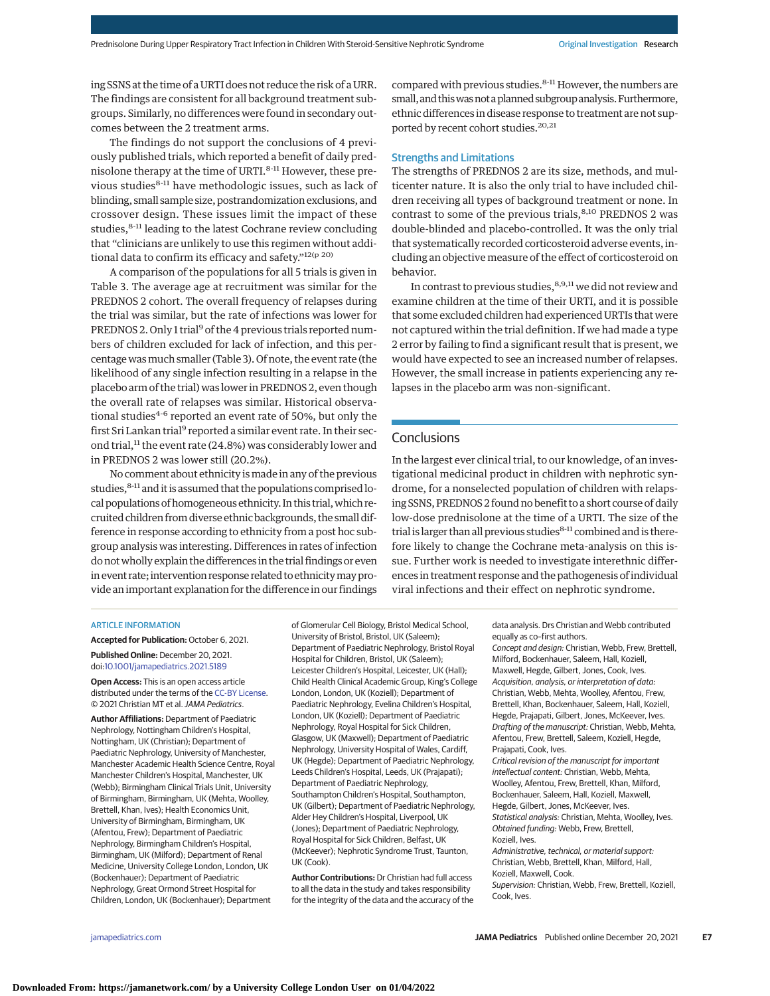ing SSNS at the time of a URTI does not reduce the risk of a URR. The findings are consistent for all background treatment subgroups. Similarly, no differences were found in secondary outcomes between the 2 treatment arms.

The findings do not support the conclusions of 4 previously published trials, which reported a benefit of daily prednisolone therapy at the time of URTI.<sup>8-11</sup> However, these previous studies<sup>8-11</sup> have methodologic issues, such as lack of blinding, small sample size, postrandomization exclusions, and crossover design. These issues limit the impact of these studies,<sup>8-11</sup> leading to the latest Cochrane review concluding that "clinicians are unlikely to use this regimen without additional data to confirm its efficacy and safety."<sup>12(p 20)</sup>

A comparison of the populations for all 5 trials is given in Table 3. The average age at recruitment was similar for the PREDNOS 2 cohort. The overall frequency of relapses during the trial was similar, but the rate of infections was lower for PREDNOS 2. Only 1 trial<sup>9</sup> of the 4 previous trials reported numbers of children excluded for lack of infection, and this percentage wasmuch smaller (Table 3). Of note, the event rate (the likelihood of any single infection resulting in a relapse in the placebo arm of the trial) was lower in PREDNOS 2, even though the overall rate of relapses was similar. Historical observational studies<sup>4-6</sup> reported an event rate of 50%, but only the first Sri Lankan trial<sup>9</sup> reported a similar event rate. In their second trial,<sup>11</sup> the event rate (24.8%) was considerably lower and in PREDNOS 2 was lower still (20.2%).

No comment about ethnicity ismade in any of the previous studies,  $8-11$  and it is assumed that the populations comprised local populations of homogeneous ethnicity. In this trial,which recruited children from diverse ethnic backgrounds, the small difference in response according to ethnicity from a post hoc subgroup analysis was interesting. Differences in rates of infection do notwholly explain the differences in the trial findings or even in event rate; intervention response related to ethnicitymay provide an important explanation for the difference in our findings compared with previous studies.<sup>8-11</sup> However, the numbers are small, and this was not a planned subgroup analysis. Furthermore, ethnic differences in disease response to treatment are not supported by recent cohort studies.<sup>20,21</sup>

# Strengths and Limitations

The strengths of PREDNOS 2 are its size, methods, and multicenter nature. It is also the only trial to have included children receiving all types of background treatment or none. In contrast to some of the previous trials,<sup>8,10</sup> PREDNOS 2 was double-blinded and placebo-controlled. It was the only trial that systematically recorded corticosteroid adverse events, including an objective measure of the effect of corticosteroid on behavior.

In contrast to previous studies,  $^{8,9,11}$  we did not review and examine children at the time of their URTI, and it is possible that some excluded children had experienced URTIs that were not captured within the trial definition. If we had made a type 2 error by failing to find a significant result that is present, we would have expected to see an increased number of relapses. However, the small increase in patients experiencing any relapses in the placebo arm was non-significant.

# Conclusions

In the largest ever clinical trial, to our knowledge, of an investigational medicinal product in children with nephrotic syndrome, for a nonselected population of children with relapsing SSNS, PREDNOS 2 found no benefit to a short course of daily low-dose prednisolone at the time of a URTI. The size of the trial is larger than all previous studies<sup>8-11</sup> combined and is therefore likely to change the Cochrane meta-analysis on this issue. Further work is needed to investigate interethnic differences in treatment response and the pathogenesis of individual viral infections and their effect on nephrotic syndrome.

#### ARTICLE INFORMATION

**Accepted for Publication:** October 6, 2021. **Published Online:** December 20, 2021. doi[:10.1001/jamapediatrics.2021.5189](https://jamanetwork.com/journals/jama/fullarticle/10.1001/jamapediatrics.2021.5189?utm_campaign=articlePDF%26utm_medium=articlePDFlink%26utm_source=articlePDF%26utm_content=jamapediatrics.2021.5189)

**Open Access:** This is an open access article distributed under the terms of the [CC-BY License.](https://jamanetwork.com/pages/cc-by-license-permissions?utm_campaign=articlePDF%26utm_medium=articlePDFlink%26utm_source=articlePDF%26utm_content=jamapediatrics.2021.5189) © 2021 Christian MT et al. JAMA Pediatrics.

**Author Affiliations:** Department of Paediatric Nephrology, Nottingham Children's Hospital, Nottingham, UK (Christian); Department of Paediatric Nephrology, University of Manchester, Manchester Academic Health Science Centre, Royal Manchester Children's Hospital, Manchester, UK (Webb); Birmingham Clinical Trials Unit, University of Birmingham, Birmingham, UK (Mehta, Woolley, Brettell, Khan, Ives); Health Economics Unit, University of Birmingham, Birmingham, UK (Afentou, Frew); Department of Paediatric Nephrology, Birmingham Children's Hospital, Birmingham, UK (Milford); Department of Renal Medicine, University College London, London, UK (Bockenhauer); Department of Paediatric Nephrology, Great Ormond Street Hospital for Children, London, UK (Bockenhauer); Department

of Glomerular Cell Biology, Bristol Medical School, University of Bristol, Bristol, UK (Saleem); Department of Paediatric Nephrology, Bristol Royal Hospital for Children, Bristol, UK (Saleem); Leicester Children's Hospital, Leicester, UK (Hall); Child Health Clinical Academic Group, King's College London, London, UK (Koziell); Department of Paediatric Nephrology, Evelina Children's Hospital, London, UK (Koziell); Department of Paediatric Nephrology, Royal Hospital for Sick Children, Glasgow, UK (Maxwell); Department of Paediatric Nephrology, University Hospital of Wales, Cardiff, UK (Hegde); Department of Paediatric Nephrology, Leeds Children's Hospital, Leeds, UK (Prajapati); Department of Paediatric Nephrology, Southampton Children's Hospital, Southampton, UK (Gilbert); Department of Paediatric Nephrology, Alder Hey Children's Hospital, Liverpool, UK (Jones); Department of Paediatric Nephrology, Royal Hospital for Sick Children, Belfast, UK (McKeever); Nephrotic Syndrome Trust, Taunton, UK (Cook).

**Author Contributions:** Dr Christian had full access to all the data in the study and takes responsibility for the integrity of the data and the accuracy of the data analysis. Drs Christian and Webb contributed equally as co–first authors.

Concept and design: Christian, Webb, Frew, Brettell, Milford, Bockenhauer, Saleem, Hall, Koziell, Maxwell, Hegde, Gilbert, Jones, Cook, Ives. Acquisition, analysis, or interpretation of data: Christian, Webb, Mehta, Woolley, Afentou, Frew, Brettell, Khan, Bockenhauer, Saleem, Hall, Koziell, Hegde, Prajapati, Gilbert, Jones, McKeever, Ives. Drafting of the manuscript: Christian, Webb, Mehta, Afentou, Frew, Brettell, Saleem, Koziell, Hegde, Prajapati, Cook, Ives.

Critical revision of the manuscript for important intellectual content: Christian, Webb, Mehta, Woolley, Afentou, Frew, Brettell, Khan, Milford, Bockenhauer, Saleem, Hall, Koziell, Maxwell, Hegde, Gilbert, Jones, McKeever, Ives. Statistical analysis: Christian, Mehta, Woolley, Ives. Obtained funding: Webb, Frew, Brettell, Koziell, Ives.

Administrative, technical, or material support: Christian, Webb, Brettell, Khan, Milford, Hall, Koziell, Maxwell, Cook.

Supervision: Christian, Webb, Frew, Brettell, Koziell, Cook, Ives.